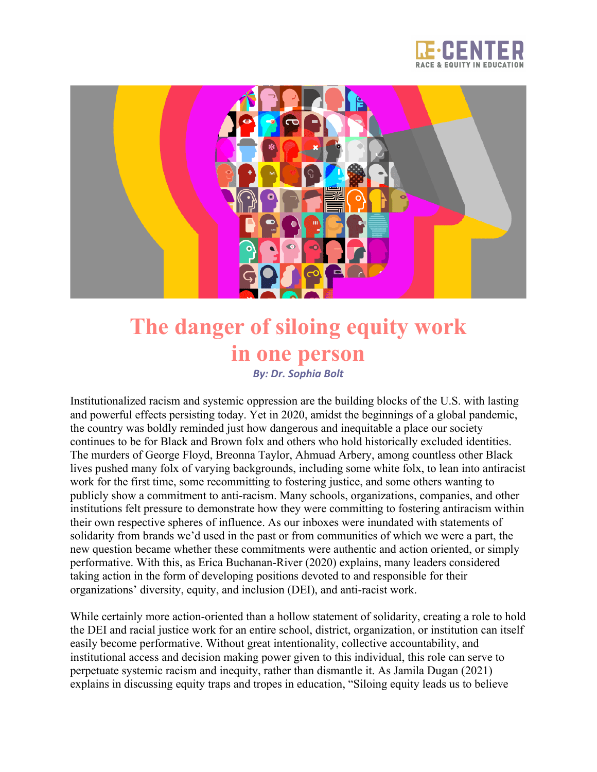



## **The danger of siloing equity work in one person** *By: Dr. Sophia Bolt*

Institutionalized racism and systemic oppression are the building blocks of the U.S. with lasting and powerful effects persisting today. Yet in 2020, amidst the beginnings of a global pandemic, the country was boldly reminded just how dangerous and inequitable a place our society continues to be for Black and Brown folx and others who hold historically excluded identities. The murders of George Floyd, Breonna Taylor, Ahmuad Arbery, among countless other Black lives pushed many folx of varying backgrounds, including some white folx, to lean into antiracist work for the first time, some recommitting to fostering justice, and some others wanting to publicly show a commitment to anti-racism. Many schools, organizations, companies, and other institutions felt pressure to demonstrate how they were committing to fostering antiracism within their own respective spheres of influence. As our inboxes were inundated with statements of solidarity from brands we'd used in the past or from communities of which we were a part, the new question became whether these commitments were authentic and action oriented, or simply performative. With this, as Erica Buchanan-River (2020) explains, many leaders considered taking action in the form of developing positions devoted to and responsible for their organizations' diversity, equity, and inclusion (DEI), and anti-racist work.

While certainly more action-oriented than a hollow statement of solidarity, creating a role to hold the DEI and racial justice work for an entire school, district, organization, or institution can itself easily become performative. Without great intentionality, collective accountability, and institutional access and decision making power given to this individual, this role can serve to perpetuate systemic racism and inequity, rather than dismantle it. As Jamila Dugan (2021) explains in discussing equity traps and tropes in education, "Siloing equity leads us to believe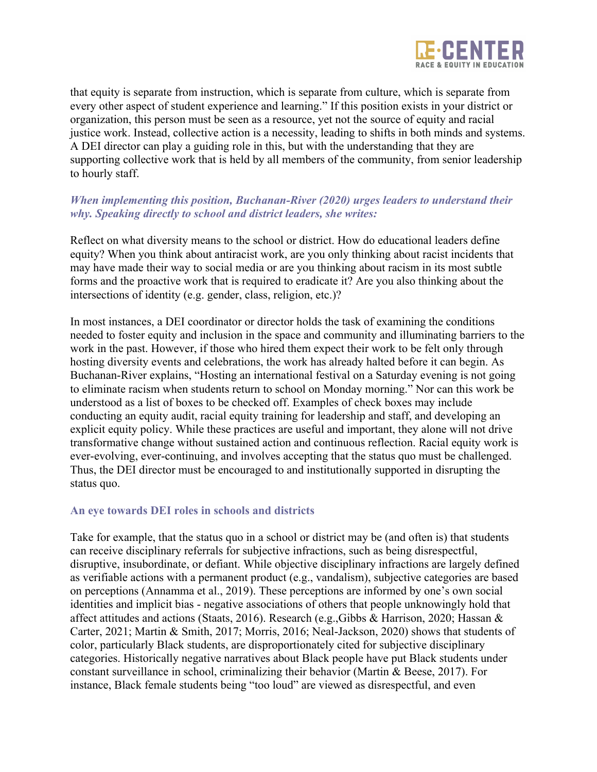

that equity is separate from instruction, which is separate from culture, which is separate from every other aspect of student experience and learning." If this position exists in your district or organization, this person must be seen as a resource, yet not the source of equity and racial justice work. Instead, collective action is a necessity, leading to shifts in both minds and systems. A DEI director can play a guiding role in this, but with the understanding that they are supporting collective work that is held by all members of the community, from senior leadership to hourly staff.

## *When implementing this position, Buchanan-River (2020) urges leaders to understand their why. Speaking directly to school and district leaders, she writes:*

Reflect on what diversity means to the school or district. How do educational leaders define equity? When you think about antiracist work, are you only thinking about racist incidents that may have made their way to social media or are you thinking about racism in its most subtle forms and the proactive work that is required to eradicate it? Are you also thinking about the intersections of identity (e.g. gender, class, religion, etc.)?

In most instances, a DEI coordinator or director holds the task of examining the conditions needed to foster equity and inclusion in the space and community and illuminating barriers to the work in the past. However, if those who hired them expect their work to be felt only through hosting diversity events and celebrations, the work has already halted before it can begin. As Buchanan-River explains, "Hosting an international festival on a Saturday evening is not going to eliminate racism when students return to school on Monday morning." Nor can this work be understood as a list of boxes to be checked off. Examples of check boxes may include conducting an equity audit, racial equity training for leadership and staff, and developing an explicit equity policy. While these practices are useful and important, they alone will not drive transformative change without sustained action and continuous reflection. Racial equity work is ever-evolving, ever-continuing, and involves accepting that the status quo must be challenged. Thus, the DEI director must be encouraged to and institutionally supported in disrupting the status quo.

## **An eye towards DEI roles in schools and districts**

Take for example, that the status quo in a school or district may be (and often is) that students can receive disciplinary referrals for subjective infractions, such as being disrespectful, disruptive, insubordinate, or defiant. While objective disciplinary infractions are largely defined as verifiable actions with a permanent product (e.g., vandalism), subjective categories are based on perceptions (Annamma et al., 2019). These perceptions are informed by one's own social identities and implicit bias - negative associations of others that people unknowingly hold that affect attitudes and actions (Staats, 2016). Research (e.g.,Gibbs & Harrison, 2020; Hassan & Carter, 2021; Martin & Smith, 2017; Morris, 2016; Neal-Jackson, 2020) shows that students of color, particularly Black students, are disproportionately cited for subjective disciplinary categories. Historically negative narratives about Black people have put Black students under constant surveillance in school, criminalizing their behavior (Martin & Beese, 2017). For instance, Black female students being "too loud" are viewed as disrespectful, and even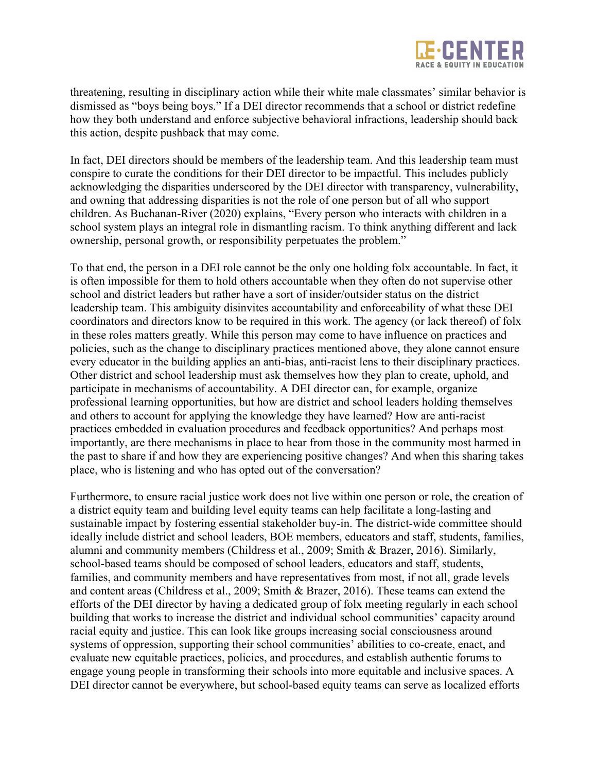

threatening, resulting in disciplinary action while their white male classmates' similar behavior is dismissed as "boys being boys." If a DEI director recommends that a school or district redefine how they both understand and enforce subjective behavioral infractions, leadership should back this action, despite pushback that may come.

In fact, DEI directors should be members of the leadership team. And this leadership team must conspire to curate the conditions for their DEI director to be impactful. This includes publicly acknowledging the disparities underscored by the DEI director with transparency, vulnerability, and owning that addressing disparities is not the role of one person but of all who support children. As Buchanan-River (2020) explains, "Every person who interacts with children in a school system plays an integral role in dismantling racism. To think anything different and lack ownership, personal growth, or responsibility perpetuates the problem."

To that end, the person in a DEI role cannot be the only one holding folx accountable. In fact, it is often impossible for them to hold others accountable when they often do not supervise other school and district leaders but rather have a sort of insider/outsider status on the district leadership team. This ambiguity disinvites accountability and enforceability of what these DEI coordinators and directors know to be required in this work. The agency (or lack thereof) of folx in these roles matters greatly. While this person may come to have influence on practices and policies, such as the change to disciplinary practices mentioned above, they alone cannot ensure every educator in the building applies an anti-bias, anti-racist lens to their disciplinary practices. Other district and school leadership must ask themselves how they plan to create, uphold, and participate in mechanisms of accountability. A DEI director can, for example, organize professional learning opportunities, but how are district and school leaders holding themselves and others to account for applying the knowledge they have learned? How are anti-racist practices embedded in evaluation procedures and feedback opportunities? And perhaps most importantly, are there mechanisms in place to hear from those in the community most harmed in the past to share if and how they are experiencing positive changes? And when this sharing takes place, who is listening and who has opted out of the conversation?

Furthermore, to ensure racial justice work does not live within one person or role, the creation of a district equity team and building level equity teams can help facilitate a long-lasting and sustainable impact by fostering essential stakeholder buy-in. The district-wide committee should ideally include district and school leaders, BOE members, educators and staff, students, families, alumni and community members (Childress et al., 2009; Smith & Brazer, 2016). Similarly, school-based teams should be composed of school leaders, educators and staff, students, families, and community members and have representatives from most, if not all, grade levels and content areas (Childress et al., 2009; Smith & Brazer, 2016). These teams can extend the efforts of the DEI director by having a dedicated group of folx meeting regularly in each school building that works to increase the district and individual school communities' capacity around racial equity and justice. This can look like groups increasing social consciousness around systems of oppression, supporting their school communities' abilities to co-create, enact, and evaluate new equitable practices, policies, and procedures, and establish authentic forums to engage young people in transforming their schools into more equitable and inclusive spaces. A DEI director cannot be everywhere, but school-based equity teams can serve as localized efforts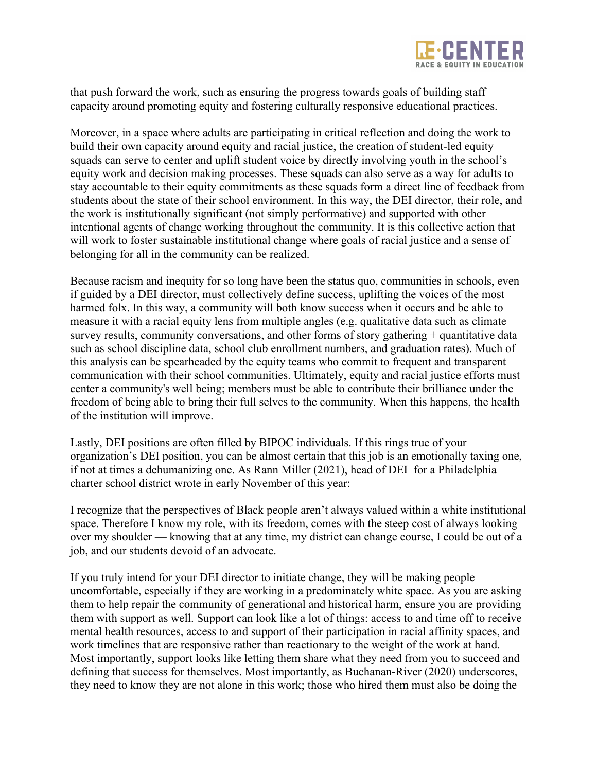

that push forward the work, such as ensuring the progress towards goals of building staff capacity around promoting equity and fostering culturally responsive educational practices.

Moreover, in a space where adults are participating in critical reflection and doing the work to build their own capacity around equity and racial justice, the creation of student-led equity squads can serve to center and uplift student voice by directly involving youth in the school's equity work and decision making processes. These squads can also serve as a way for adults to stay accountable to their equity commitments as these squads form a direct line of feedback from students about the state of their school environment. In this way, the DEI director, their role, and the work is institutionally significant (not simply performative) and supported with other intentional agents of change working throughout the community. It is this collective action that will work to foster sustainable institutional change where goals of racial justice and a sense of belonging for all in the community can be realized.

Because racism and inequity for so long have been the status quo, communities in schools, even if guided by a DEI director, must collectively define success, uplifting the voices of the most harmed folx. In this way, a community will both know success when it occurs and be able to measure it with a racial equity lens from multiple angles (e.g. qualitative data such as climate survey results, community conversations, and other forms of story gathering + quantitative data such as school discipline data, school club enrollment numbers, and graduation rates). Much of this analysis can be spearheaded by the equity teams who commit to frequent and transparent communication with their school communities. Ultimately, equity and racial justice efforts must center a community's well being; members must be able to contribute their brilliance under the freedom of being able to bring their full selves to the community. When this happens, the health of the institution will improve.

Lastly, DEI positions are often filled by BIPOC individuals. If this rings true of your organization's DEI position, you can be almost certain that this job is an emotionally taxing one, if not at times a dehumanizing one. As Rann Miller (2021), head of DEI for a Philadelphia charter school district wrote in early November of this year:

I recognize that the perspectives of Black people aren't always valued within a white institutional space. Therefore I know my role, with its freedom, comes with the steep cost of always looking over my shoulder — knowing that at any time, my district can change course, I could be out of a job, and our students devoid of an advocate.

If you truly intend for your DEI director to initiate change, they will be making people uncomfortable, especially if they are working in a predominately white space. As you are asking them to help repair the community of generational and historical harm, ensure you are providing them with support as well. Support can look like a lot of things: access to and time off to receive mental health resources, access to and support of their participation in racial affinity spaces, and work timelines that are responsive rather than reactionary to the weight of the work at hand. Most importantly, support looks like letting them share what they need from you to succeed and defining that success for themselves. Most importantly, as Buchanan-River (2020) underscores, they need to know they are not alone in this work; those who hired them must also be doing the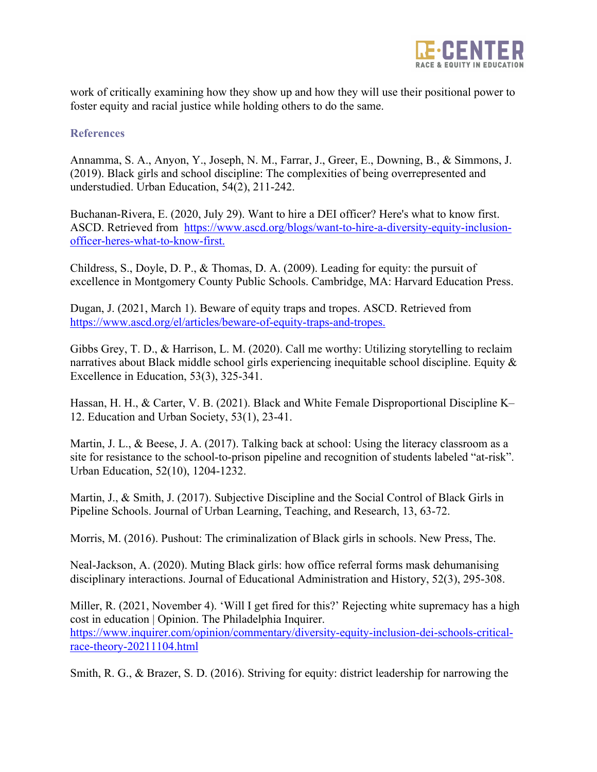

work of critically examining how they show up and how they will use their positional power to foster equity and racial justice while holding others to do the same.

## **References**

Annamma, S. A., Anyon, Y., Joseph, N. M., Farrar, J., Greer, E., Downing, B., & Simmons, J. (2019). Black girls and school discipline: The complexities of being overrepresented and understudied. Urban Education, 54(2), 211-242.

Buchanan-Rivera, E. (2020, July 29). Want to hire a DEI officer? Here's what to know first. ASCD. Retrieved from https://www.ascd.org/blogs/want-to-hire-a-diversity-equity-inclusionofficer-heres-what-to-know-first.

Childress, S., Doyle, D. P., & Thomas, D. A. (2009). Leading for equity: the pursuit of excellence in Montgomery County Public Schools. Cambridge, MA: Harvard Education Press.

Dugan, J. (2021, March 1). Beware of equity traps and tropes. ASCD. Retrieved from https://www.ascd.org/el/articles/beware-of-equity-traps-and-tropes.

Gibbs Grey, T. D., & Harrison, L. M. (2020). Call me worthy: Utilizing storytelling to reclaim narratives about Black middle school girls experiencing inequitable school discipline. Equity & Excellence in Education, 53(3), 325-341.

Hassan, H. H., & Carter, V. B. (2021). Black and White Female Disproportional Discipline K– 12. Education and Urban Society, 53(1), 23-41.

Martin, J. L., & Beese, J. A. (2017). Talking back at school: Using the literacy classroom as a site for resistance to the school-to-prison pipeline and recognition of students labeled "at-risk". Urban Education, 52(10), 1204-1232.

Martin, J., & Smith, J. (2017). Subjective Discipline and the Social Control of Black Girls in Pipeline Schools. Journal of Urban Learning, Teaching, and Research, 13, 63-72.

Morris, M. (2016). Pushout: The criminalization of Black girls in schools. New Press, The.

Neal-Jackson, A. (2020). Muting Black girls: how office referral forms mask dehumanising disciplinary interactions. Journal of Educational Administration and History, 52(3), 295-308.

Miller, R. (2021, November 4). 'Will I get fired for this?' Rejecting white supremacy has a high cost in education | Opinion. The Philadelphia Inquirer. https://www.inquirer.com/opinion/commentary/diversity-equity-inclusion-dei-schools-criticalrace-theory-20211104.html

Smith, R. G., & Brazer, S. D. (2016). Striving for equity: district leadership for narrowing the